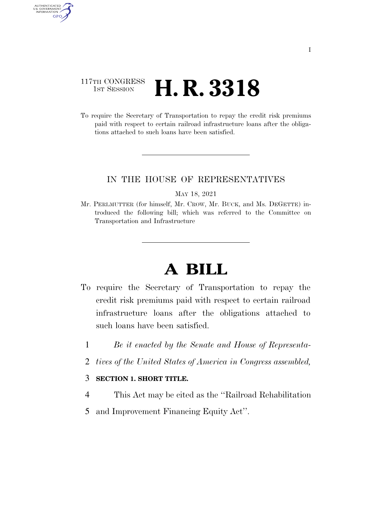## 117TH CONGRESS <sup>TH CONGRESS</sup> **H. R. 3318**

AUTHENTICATED<br>U.S. GOVERNMENT<br>INFORMATION GPO

> To require the Secretary of Transportation to repay the credit risk premiums paid with respect to certain railroad infrastructure loans after the obligations attached to such loans have been satisfied.

### IN THE HOUSE OF REPRESENTATIVES

#### MAY 18, 2021

Mr. PERLMUTTER (for himself, Mr. CROW, Mr. BUCK, and Ms. DEGETTE) introduced the following bill; which was referred to the Committee on Transportation and Infrastructure

# **A BILL**

- To require the Secretary of Transportation to repay the credit risk premiums paid with respect to certain railroad infrastructure loans after the obligations attached to such loans have been satisfied.
	- 1 *Be it enacted by the Senate and House of Representa-*
	- 2 *tives of the United States of America in Congress assembled,*

### 3 **SECTION 1. SHORT TITLE.**

- 4 This Act may be cited as the ''Railroad Rehabilitation
- 5 and Improvement Financing Equity Act''.